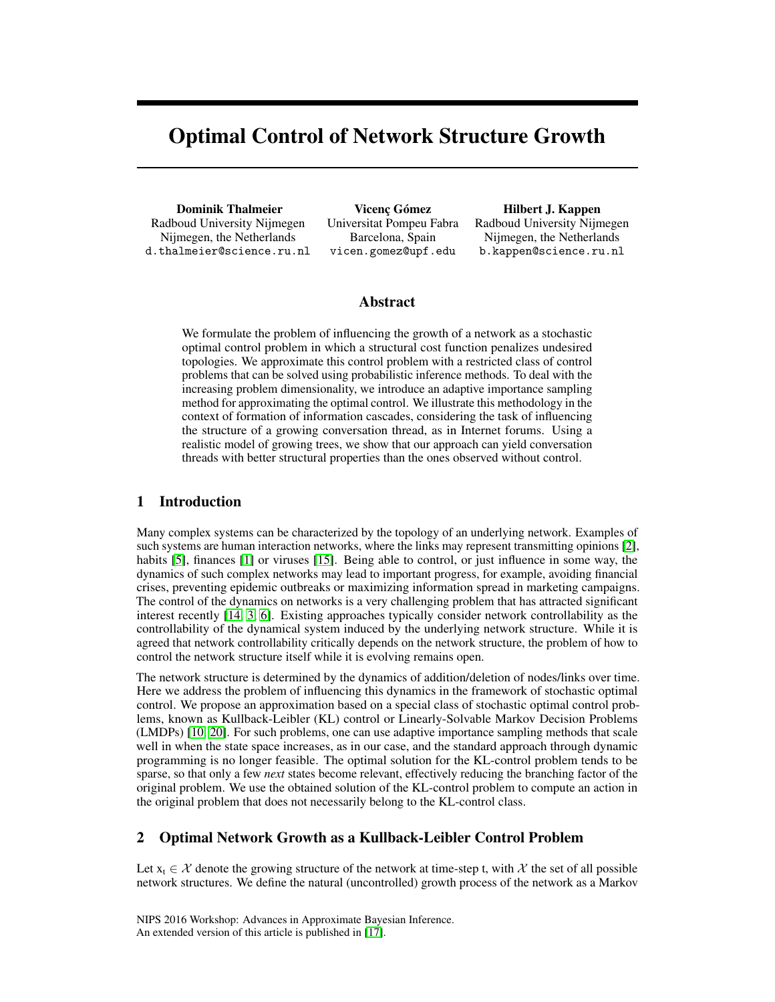# Optimal Control of Network Structure Growth

Dominik Thalmeier Radboud University Nijmegen Nijmegen, the Netherlands d.thalmeier@science.ru.nl

Vicenç Gómez Universitat Pompeu Fabra Barcelona, Spain vicen.gomez@upf.edu

Hilbert J. Kappen Radboud University Nijmegen Nijmegen, the Netherlands b.kappen@science.ru.nl

# Abstract

We formulate the problem of influencing the growth of a network as a stochastic optimal control problem in which a structural cost function penalizes undesired topologies. We approximate this control problem with a restricted class of control problems that can be solved using probabilistic inference methods. To deal with the increasing problem dimensionality, we introduce an adaptive importance sampling method for approximating the optimal control. We illustrate this methodology in the context of formation of information cascades, considering the task of influencing the structure of a growing conversation thread, as in Internet forums. Using a realistic model of growing trees, we show that our approach can yield conversation threads with better structural properties than the ones observed without control.

# 1 Introduction

Many complex systems can be characterized by the topology of an underlying network. Examples of such systems are human interaction networks, where the links may represent transmitting opinions [\[2\]](#page-4-0), habits [\[5\]](#page-4-1), finances [\[1\]](#page-4-2) or viruses [\[15\]](#page-4-3). Being able to control, or just influence in some way, the dynamics of such complex networks may lead to important progress, for example, avoiding financial crises, preventing epidemic outbreaks or maximizing information spread in marketing campaigns. The control of the dynamics on networks is a very challenging problem that has attracted significant interest recently [\[14,](#page-4-4) [3,](#page-4-5) [6\]](#page-4-6). Existing approaches typically consider network controllability as the controllability of the dynamical system induced by the underlying network structure. While it is agreed that network controllability critically depends on the network structure, the problem of how to control the network structure itself while it is evolving remains open.

The network structure is determined by the dynamics of addition/deletion of nodes/links over time. Here we address the problem of influencing this dynamics in the framework of stochastic optimal control. We propose an approximation based on a special class of stochastic optimal control problems, known as Kullback-Leibler (KL) control or Linearly-Solvable Markov Decision Problems (LMDPs) [\[10,](#page-4-7) [20\]](#page-4-8). For such problems, one can use adaptive importance sampling methods that scale well in when the state space increases, as in our case, and the standard approach through dynamic programming is no longer feasible. The optimal solution for the KL-control problem tends to be sparse, so that only a few *next* states become relevant, effectively reducing the branching factor of the original problem. We use the obtained solution of the KL-control problem to compute an action in the original problem that does not necessarily belong to the KL-control class.

# 2 Optimal Network Growth as a Kullback-Leibler Control Problem

Let  $x_t \in \mathcal{X}$  denote the growing structure of the network at time-step t, with X the set of all possible network structures. We define the natural (uncontrolled) growth process of the network as a Markov

NIPS 2016 Workshop: Advances in Approximate Bayesian Inference. An extended version of this article is published in [\[17\]](#page-4-9).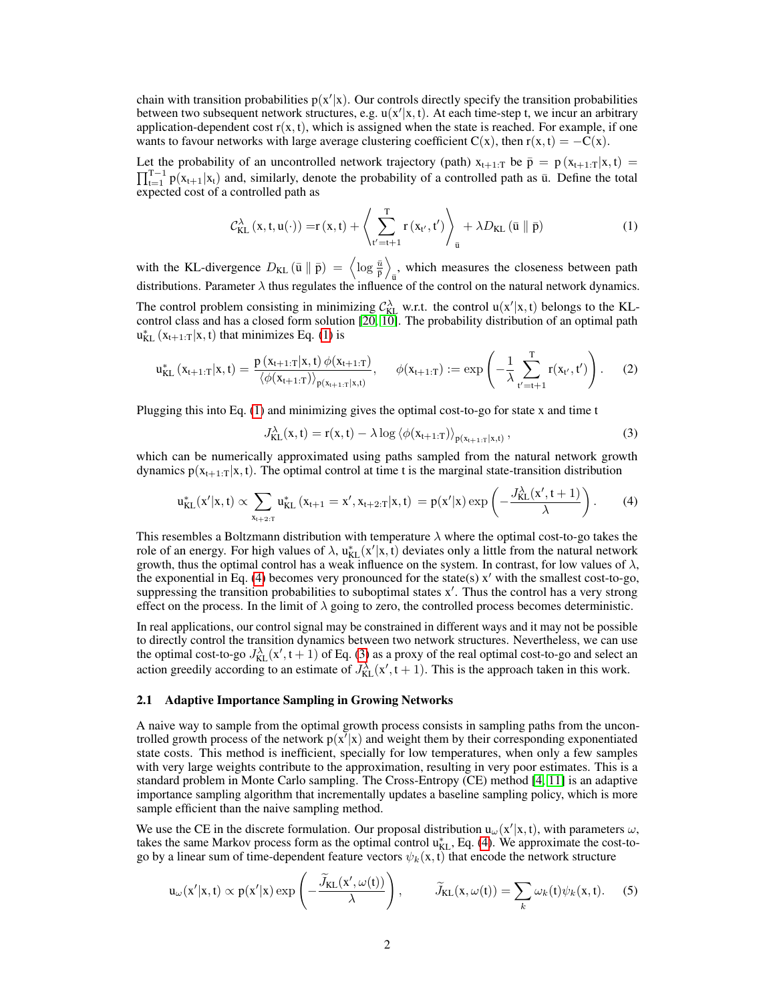chain with transition probabilities  $p(x'|x)$ . Our controls directly specify the transition probabilities between two subsequent network structures, e.g.  $u(x'|x, t)$ . At each time-step t, we incur an arbitrary application-dependent cost  $r(x, t)$ , which is assigned when the state is reached. For example, if one wants to favour networks with large average clustering coefficient  $C(x)$ , then  $r(x, t) = -C(x)$ .

Let the probability of an uncontrolled network trajectory (path)  $x_{t+1:T}$  be  $\bar{p} = p(x_{t+1:T}|x, t)$  $\prod_{t=1}^{T-1} p(x_{t+1}|x_t)$  and, similarly, denote the probability of a controlled path as  $\bar{u}$ . Define the total expected cost of a controlled path as

<span id="page-1-0"></span>
$$
\mathcal{C}_{\text{KL}}^{\lambda}\left(x, t, u(\cdot)\right) = r\left(x, t\right) + \left\langle \sum_{t'=t+1}^{T} r\left(x_{t'}, t'\right) \right\rangle_{\bar{u}} + \lambda D_{\text{KL}}\left(\bar{u} \parallel \bar{p}\right) \tag{1}
$$

with the KL-divergence  $D_{\text{KL}}\left(\bar{u} \parallel \bar{p}\right) = \left\langle \log \frac{\bar{u}}{\bar{p}} \right\rangle$ , which measures the closeness between path  $\overline{u}$ distributions. Parameter  $\lambda$  thus regulates the influence of the control on the natural network dynamics. The control problem consisting in minimizing  $C_{KL}^{\lambda}$  w.r.t. the control  $u(x'|x, t)$  belongs to the KLcontrol class and has a closed form solution [\[20,](#page-4-8) [10\]](#page-4-7). The probability distribution of an optimal path  $u_{KL}^*(x_{t+1:T}|x, t)$  that minimizes Eq. [\(1\)](#page-1-0) is

$$
u_{KL}^{*}\left(x_{t+1:T}|x,t\right) = \frac{p\left(x_{t+1:T}|x,t\right)\phi(x_{t+1:T})}{\left\langle\phi(x_{t+1:T})\right\rangle_{p\left(x_{t+1:T}|x,t\right)}}, \quad \phi(x_{t+1:T}) := \exp\left(-\frac{1}{\lambda}\sum_{t'=t+1}^{T}r(x_{t'},t')\right). \tag{2}
$$

Plugging this into Eq. [\(1\)](#page-1-0) and minimizing gives the optimal cost-to-go for state x and time t

<span id="page-1-2"></span><span id="page-1-1"></span>
$$
J_{\text{KL}}^{\lambda}(x,t) = r(x,t) - \lambda \log \langle \phi(x_{t+1:T}) \rangle_{p(x_{t+1:T}|x,t)}, \qquad (3)
$$

which can be numerically approximated using paths sampled from the natural network growth dynamics  $p(x_{t+1:T}|x, t)$ . The optimal control at time t is the marginal state-transition distribution

$$
u_{KL}^*(x'|x,t) \propto \sum_{x_{t+2:T}} u_{KL}^*\left(x_{t+1}=x', x_{t+2:T}|x,t\right) = p(x'|x) \exp\left(-\frac{J_{KL}^{\lambda}(x',t+1)}{\lambda}\right). \hspace{1cm} (4)
$$

This resembles a Boltzmann distribution with temperature  $\lambda$  where the optimal cost-to-go takes the role of an energy. For high values of  $\lambda$ ,  $u_{KL}^*(x'|x, t)$  deviates only a little from the natural network growth, thus the optimal control has a weak influence on the system. In contrast, for low values of  $\lambda$ , the exponential in Eq. [\(4\)](#page-1-1) becomes very pronounced for the state(s)  $x'$  with the smallest cost-to-go, suppressing the transition probabilities to suboptimal states  $x'$ . Thus the control has a very strong effect on the process. In the limit of  $\lambda$  going to zero, the controlled process becomes deterministic.

In real applications, our control signal may be constrained in different ways and it may not be possible to directly control the transition dynamics between two network structures. Nevertheless, we can use the optimal cost-to-go  $J_{KL}^{\lambda}(x', t + 1)$  of Eq. [\(3\)](#page-1-2) as a proxy of the real optimal cost-to-go and select an action greedily according to an estimate of  $J_{KL}^{\lambda}(x', t + 1)$ . This is the approach taken in this work.

### 2.1 Adaptive Importance Sampling in Growing Networks

A naive way to sample from the optimal growth process consists in sampling paths from the uncontrolled growth process of the network  $p(x^7|x)$  and weight them by their corresponding exponentiated state costs. This method is inefficient, specially for low temperatures, when only a few samples with very large weights contribute to the approximation, resulting in very poor estimates. This is a standard problem in Monte Carlo sampling. The Cross-Entropy (CE) method [\[4,](#page-4-10) [11\]](#page-4-11) is an adaptive importance sampling algorithm that incrementally updates a baseline sampling policy, which is more sample efficient than the naive sampling method.

We use the CE in the discrete formulation. Our proposal distribution  $u_{\omega}(x'|x, t)$ , with parameters  $\omega$ , takes the same Markov process form as the optimal control  $u_{KL}^*$ , Eq. [\(4\)](#page-1-1). We approximate the cost-togo by a linear sum of time-dependent feature vectors  $\psi_k(x, t)$  that encode the network structure

<span id="page-1-3"></span>
$$
\mathbf{u}_{\omega}(\mathbf{x}'|\mathbf{x},t) \propto \mathbf{p}(\mathbf{x}'|\mathbf{x}) \exp\left(-\frac{\widetilde{J}_{\mathbf{KL}}(\mathbf{x}',\omega(t))}{\lambda}\right), \qquad \widetilde{J}_{\mathbf{KL}}(\mathbf{x},\omega(t)) = \sum_{k} \omega_k(t) \psi_k(\mathbf{x},t). \tag{5}
$$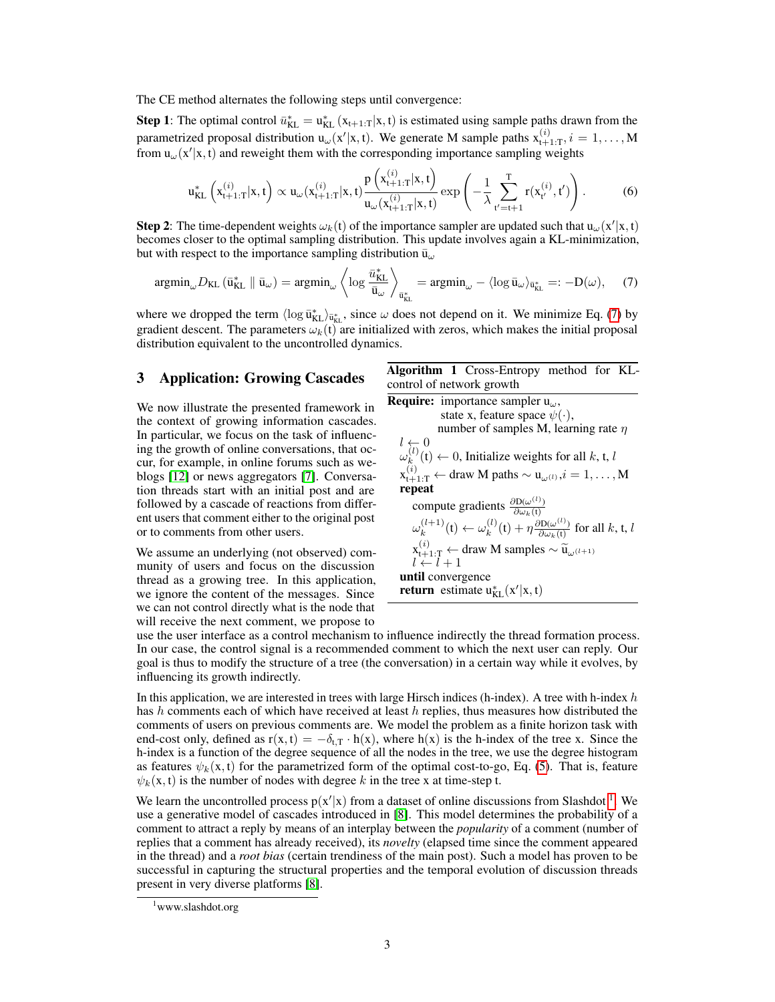The CE method alternates the following steps until convergence:

**Step 1**: The optimal control  $\bar{u}_{KL}^* = u_{KL}^*(x_{t+1:T}|x, t)$  is estimated using sample paths drawn from the parametrized proposal distribution  $u_{\omega}(x'|x, t)$ . We generate M sample paths  $x_{t+1:T}^{(i)}$ ,  $i = 1, ..., M$ from  $u_{\omega}(x'|x, t)$  and reweight them with the corresponding importance sampling weights

$$
u_{KL}^{*}\left(x_{t+1:T}^{(i)}|x,t\right) \propto u_{\omega}(x_{t+1:T}^{(i)}|x,t) \frac{p\left(x_{t+1:T}^{(i)}|x,t\right)}{u_{\omega}(x_{t+1:T}^{(i)}|x,t)} \exp\left(-\frac{1}{\lambda} \sum_{t'=t+1}^{T} r(x_{t'}^{(i)},t')\right).
$$
 (6)

**Step 2**: The time-dependent weights  $\omega_k(t)$  of the importance sampler are updated such that  $u_\omega(x'|x,t)$ becomes closer to the optimal sampling distribution. This update involves again a KL-minimization, but with respect to the importance sampling distribution  $\bar{u}_{\omega}$ 

$$
\operatorname{argmin}_{\omega} D_{\mathrm{KL}}\left(\bar{\mathbf{u}}_{\mathrm{KL}}^* \parallel \bar{\mathbf{u}}_{\omega}\right) = \operatorname{argmin}_{\omega} \left\langle \log \frac{\bar{u}_{\mathrm{KL}}^*}{\bar{\mathbf{u}}_{\omega}} \right\rangle_{\bar{\mathbf{u}}_{\mathrm{KL}}^*} = \operatorname{argmin}_{\omega} - \langle \log \bar{\mathbf{u}}_{\omega} \rangle_{\bar{\mathbf{u}}_{\mathrm{KL}}^*} =: -\mathbf{D}(\omega), \tag{7}
$$

where we dropped the term  $\langle \log \bar{u}_{KL}^* \rangle_{\bar{u}_{KL}^*}$ , since  $\omega$  does not depend on it. We minimize Eq. [\(7\)](#page-2-0) by gradient descent. The parameters  $\omega_k(t)$  are initialized with zeros, which makes the initial proposal distribution equivalent to the uncontrolled dynamics.

We now illustrate the presented framework in the context of growing information cascades. In particular, we focus on the task of influencing the growth of online conversations, that occur, for example, in online forums such as weblogs [\[12\]](#page-4-12) or news aggregators [\[7\]](#page-4-13). Conversation threads start with an initial post and are followed by a cascade of reactions from different users that comment either to the original post or to comments from other users.

We assume an underlying (not observed) community of users and focus on the discussion thread as a growing tree. In this application, we ignore the content of the messages. Since we can not control directly what is the node that will receive the next comment, we propose to

**3** Application: Growing Cascades Algorithm 1 Cross-Entropy method for KLcontrol of network growth **Require:** importance sampler  $u_{\omega}$ ,

<span id="page-2-2"></span><span id="page-2-0"></span>state x, feature space  $\psi(\cdot)$ , number of samples M, learning rate  $\eta$  $l \leftarrow 0$  $\omega_k^{(l)}$  $k_k^{(t)}(t) \leftarrow 0$ , Initialize weights for all k, t, l  $\mathbf{x}_{\mathsf{t}+1:\mathsf{T}}^{(i)} \leftarrow \mathsf{draw} \ \mathbf{M} \ \mathsf{paths} \sim \mathbf{u}_{\omega^{(l)}}, i = 1, \dots, \mathbf{M}$ repeat compute gradients  $\frac{\partial D(\omega^{(l)})}{\partial \omega_k(t)}$  $\omega_k^{(l+1)}$  $\omega_k^{(l+1)}(t) \leftarrow \omega_k^{(l)}$  $\kappa_k^{(l)}(t) + \eta \frac{\partial D(\omega^{(l)})}{\partial \omega_k(t)}$  for all k, t, l  $\mathbf{x}_{t+1:T}^{(i)} \leftarrow \text{draw } \mathbf{M} \text{ samples} \sim \widetilde{\mathbf{u}}_{\omega^{(l+1)}}$ <br>  $l \leftarrow l+1$ until convergence **return** estimate  $u_{KL}^*(x'|x,t)$ 

use the user interface as a control mechanism to influence indirectly the thread formation process. In our case, the control signal is a recommended comment to which the next user can reply. Our goal is thus to modify the structure of a tree (the conversation) in a certain way while it evolves, by influencing its growth indirectly.

In this application, we are interested in trees with large Hirsch indices (h-index). A tree with h-index  $h$ has h comments each of which have received at least h replies, thus measures how distributed the comments of users on previous comments are. We model the problem as a finite horizon task with end-cost only, defined as  $r(x, t) = -\delta_{t,T} \cdot h(x)$ , where  $h(x)$  is the h-index of the tree x. Since the h-index is a function of the degree sequence of all the nodes in the tree, we use the degree histogram as features  $\psi_k(x, t)$  for the parametrized form of the optimal cost-to-go, Eq. [\(5\)](#page-1-3). That is, feature  $\psi_k(x, t)$  is the number of nodes with degree k in the tree x at time-step t.

We learn the uncontrolled process  $p(x'|x)$  from a dataset of online discussions from Slashdot<sup>[1](#page-2-1)</sup>. We use a generative model of cascades introduced in [\[8\]](#page-4-14). This model determines the probability of a comment to attract a reply by means of an interplay between the *popularity* of a comment (number of replies that a comment has already received), its *novelty* (elapsed time since the comment appeared in the thread) and a *root bias* (certain trendiness of the main post). Such a model has proven to be successful in capturing the structural properties and the temporal evolution of discussion threads present in very diverse platforms [\[8\]](#page-4-14).

<span id="page-2-1"></span><sup>&</sup>lt;sup>1</sup>www.slashdot.org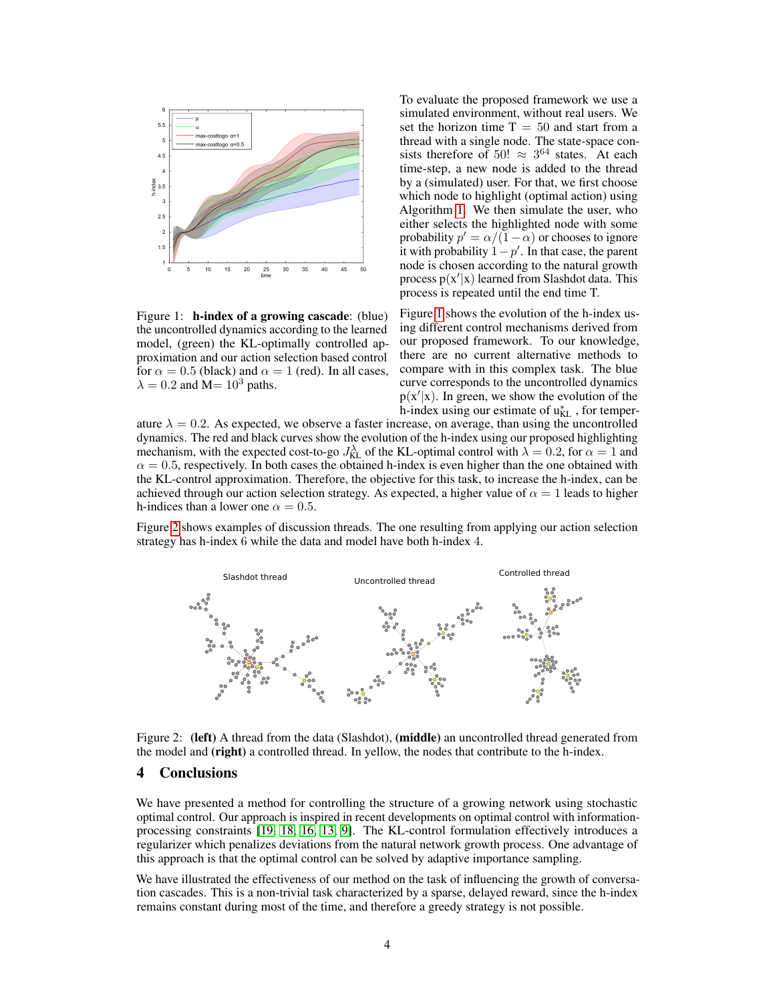

<span id="page-3-0"></span>Figure 1: h-index of a growing cascade: (blue) the uncontrolled dynamics according to the learned model, (green) the KL-optimally controlled approximation and our action selection based control for  $\alpha = 0.5$  (black) and  $\alpha = 1$  (red). In all cases,  $\lambda = 0.2$  and M=  $10^3$  paths.

To evaluate the proposed framework we use a simulated environment, without real users. We set the horizon time  $T = 50$  and start from a thread with a single node. The state-space consists therefore of 50!  $\approx 3^{64}$  states. At each time-step, a new node is added to the thread by a (simulated) user. For that, we first choose which node to highlight (optimal action) using Algorithm [1.](#page-2-2) We then simulate the user, who either selects the highlighted node with some probability  $p' = \alpha/(\overline{1-\alpha})$  or chooses to ignore it with probability  $1-p'$ . In that case, the parent node is chosen according to the natural growth process  $p(x'|x)$  learned from Slashdot data. This process is repeated until the end time T.

Figure [1](#page-3-0) shows the evolution of the h-index using different control mechanisms derived from our proposed framework. To our knowledge, there are no current alternative methods to compare with in this complex task. The blue curve corresponds to the uncontrolled dynamics  $p(x'|x)$ . In green, we show the evolution of the h-index using our estimate of  $u_{KL}^*$ , for temper-

ature  $\lambda = 0.2$ . As expected, we observe a faster increase, on average, than using the uncontrolled dynamics. The red and black curves show the evolution of the h-index using our proposed highlighting mechanism, with the expected cost-to-go  $J_{KL}^{\lambda}$  of the KL-optimal control with  $\lambda = 0.2$ , for  $\alpha = 1$  and  $\alpha = 0.5$ , respectively. In both cases the obtained h-index is even higher than the one obtained with the KL-control approximation. Therefore, the objective for this task, to increase the h-index, can be achieved through our action selection strategy. As expected, a higher value of  $\alpha = 1$  leads to higher h-indices than a lower one  $\alpha = 0.5$ .

Figure [2](#page-3-1) shows examples of discussion threads. The one resulting from applying our action selection strategy has h-index 6 while the data and model have both h-index 4.



<span id="page-3-1"></span>Figure 2: (left) A thread from the data (Slashdot), (middle) an uncontrolled thread generated from the model and (right) a controlled thread. In yellow, the nodes that contribute to the h-index.

# 4 Conclusions

We have presented a method for controlling the structure of a growing network using stochastic optimal control. Our approach is inspired in recent developments on optimal control with informationprocessing constraints [\[19,](#page-4-15) [18,](#page-4-16) [16,](#page-4-17) [13,](#page-4-18) [9\]](#page-4-19). The KL-control formulation effectively introduces a regularizer which penalizes deviations from the natural network growth process. One advantage of this approach is that the optimal control can be solved by adaptive importance sampling.

We have illustrated the effectiveness of our method on the task of influencing the growth of conversation cascades. This is a non-trivial task characterized by a sparse, delayed reward, since the h-index remains constant during most of the time, and therefore a greedy strategy is not possible.